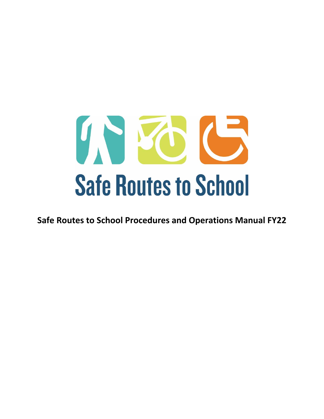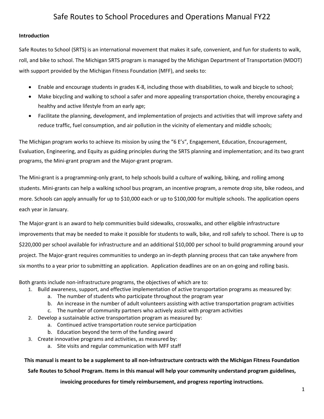### **Introduction**

Safe Routes to School (SRTS) is an international movement that makes it safe, convenient, and fun for students to walk, roll, and bike to school. The Michigan SRTS program is managed by the Michigan Department of Transportation (MDOT) with support provided by the Michigan Fitness Foundation (MFF), and seeks to:

- Enable and encourage students in grades K‐8, including those with disabilities, to walk and bicycle to school;
- Make bicycling and walking to school a safer and more appealing transportation choice, thereby encouraging a healthy and active lifestyle from an early age;
- Facilitate the planning, development, and implementation of projects and activities that will improve safety and reduce traffic, fuel consumption, and air pollution in the vicinity of elementary and middle schools;

The Michigan program works to achieve its mission by using the "6 E's", Engagement, Education, Encouragement, Evaluation, Engineering, and Equity as guiding principles during the SRTS planning and implementation; and its two grant programs, the Mini‐grant program and the Major‐grant program.

The Mini‐grant is a programming‐only grant, to help schools build a culture of walking, biking, and rolling among students. Mini‐grants can help a walking school bus program, an incentive program, a remote drop site, bike rodeos, and more. Schools can apply annually for up to \$10,000 each or up to \$100,000 for multiple schools. The application opens each year in January.

The Major‐grant is an award to help communities build sidewalks, crosswalks, and other eligible infrastructure improvements that may be needed to make it possible for students to walk, bike, and roll safely to school. There is up to \$220,000 per school available for infrastructure and an additional \$10,000 per school to build programming around your project. The Major‐grant requires communities to undergo an in‐depth planning process that can take anywhere from six months to a year prior to submitting an application. Application deadlines are on an on-going and rolling basis.

Both grants include non‐infrastructure programs, the objectives of which are to:

- 1. Build awareness, support, and effective implementation of active transportation programs as measured by:
	- a. The number of students who participate throughout the program year
	- b. An increase in the number of adult volunteers assisting with active transportation program activities
	- c. The number of community partners who actively assist with program activities
- 2. Develop a sustainable active transportation program as measured by:
	- a. Continued active transportation route service participation
	- b. Education beyond the term of the funding award
- 3. Create innovative programs and activities, as measured by:
	- a. Site visits and regular communication with MFF staff

This manual is meant to be a supplement to all non-infrastructure contracts with the Michigan Fitness Foundation

**Safe Routes to School Program. Items in this manual will help your community understand program guidelines,**

**invoicing procedures for timely reimbursement, and progress reporting instructions.**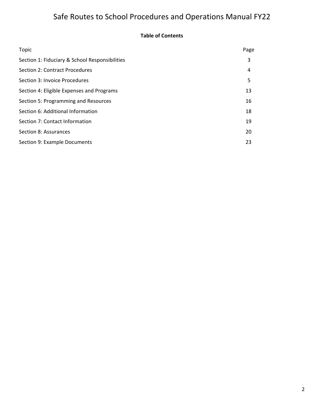### **Table of Contents**

| <b>Topic</b>                                   | Page |
|------------------------------------------------|------|
| Section 1: Fiduciary & School Responsibilities | 3    |
| Section 2: Contract Procedures                 | 4    |
| Section 3: Invoice Procedures                  | 5    |
| Section 4: Eligible Expenses and Programs      | 13   |
| Section 5: Programming and Resources           | 16   |
| Section 6: Additional Information              | 18   |
| Section 7: Contact Information                 | 19   |
| Section 8: Assurances                          | 20   |
| Section 9: Example Documents                   | 23   |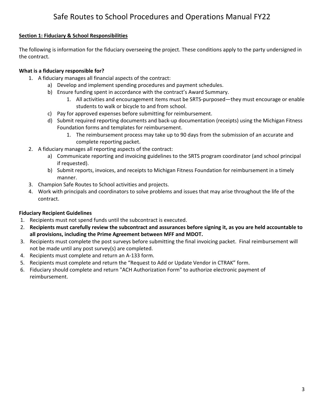### **Section 1: Fiduciary & School Responsibilities**

The following is information for the fiduciary overseeing the project. These conditions apply to the party undersigned in the contract.

### **What is a fiduciary responsible for?**

- 1. A fiduciary manages all financial aspects of the contract:
	- a) Develop and implement spending procedures and payment schedules.
	- b) Ensure funding spent in accordance with the contract's Award Summary.
		- 1. All activities and encouragement items must be SRTS-purposed—they must encourage or enable students to walk or bicycle to and from school.
	- c) Pay for approved expenses before submitting for reimbursement.
	- d) Submit required reporting documents and back‐up documentation (receipts) using the Michigan Fitness Foundation forms and templates for reimbursement.
		- 1. The reimbursement process may take up to 90 days from the submission of an accurate and complete reporting packet.
- 2. A fiduciary manages all reporting aspects of the contract:
	- a) Communicate reporting and invoicing guidelines to the SRTS program coordinator (and school principal if requested).
	- b) Submit reports, invoices, and receipts to Michigan Fitness Foundation for reimbursement in a timely manner.
- 3. Champion Safe Routes to School activities and projects.
- 4. Work with principals and coordinators to solve problems and issues that may arise throughout the life of the contract.

### **Fiduciary Recipient Guidelines**

- 1. Recipients must not spend funds until the subcontract is executed.
- 2. Recipients must carefully review the subcontract and assurances before signing it, as you are held accountable to **all provisions, including the Prime Agreement between MFF and MDOT.**
- 3. Recipients must complete the post surveys before submitting the final invoicing packet. Final reimbursement will not be made until any post survey(s) are completed.
- 4. Recipients must complete and return an A‐133 form.
- 5. Recipients must complete and return the "Request to Add or Update Vendor in CTRAK" form.
- 6. Fiduciary should complete and return "ACH Authorization Form" to authorize electronic payment of reimbursement.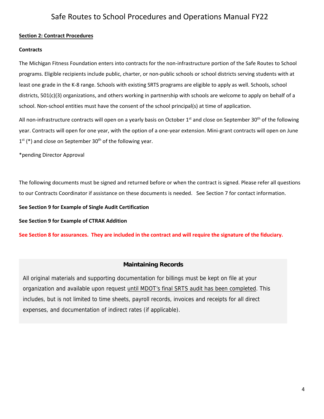### **Section 2: Contract Procedures**

#### **Contracts**

The Michigan Fitness Foundation enters into contracts for the non‐infrastructure portion of the Safe Routes to School programs. Eligible recipients include public, charter, or non‐public schools or school districts serving students with at least one grade in the K‐8 range. Schools with existing SRTS programs are eligible to apply as well. Schools, school districts, 501(c)(3) organizations, and others working in partnership with schools are welcome to apply on behalf of a school. Non-school entities must have the consent of the school principal(s) at time of application.

All non-infrastructure contracts will open on a yearly basis on October 1<sup>st</sup> and close on September 30<sup>th</sup> of the following year. Contracts will open for one year, with the option of a one‐year extension. Mini‐grant contracts will open on June  $1<sup>st</sup>$  (\*) and close on September 30<sup>th</sup> of the following year.

\*pending Director Approval

The following documents must be signed and returned before or when the contract is signed. Please refer all questions to our Contracts Coordinator if assistance on these documents is needed. See Section 7 for contact information.

**See Section 9 for Example of Single Audit Certification** 

**See Section 9 for Example of CTRAK Addition** 

See Section 8 for assurances. They are included in the contract and will require the signature of the fiduciary.

### **Maintaining Records**

All original materials and supporting documentation for billings must be kept on file at your organization and available upon request until MDOT's final SRTS audit has been completed. This includes, but is not limited to time sheets, payroll records, invoices and receipts for all direct expenses, and documentation of indirect rates (if applicable).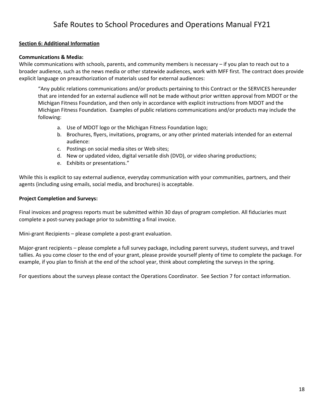### **Section 6: Additional Information**

### **Communications & Media:**

While communications with schools, parents, and community members is necessary – if you plan to reach out to a broader audience, such as the news media or other statewide audiences, work with MFF first. The contract does provide explicit language on preauthorization of materials used for external audiences:

"Any public relations communications and/or products pertaining to this Contract or the SERVICES hereunder that are intended for an external audience will not be made without prior written approval from MDOT or the Michigan Fitness Foundation, and then only in accordance with explicit instructions from MDOT and the Michigan Fitness Foundation. Examples of public relations communications and/or products may include the following:

- a. Use of MDOT logo or the Michigan Fitness Foundation logo;
- b. Brochures, flyers, invitations, programs, or any other printed materials intended for an external audience:
- c. Postings on social media sites or Web sites;
- d. New or updated video, digital versatile dish (DVD), or video sharing productions;
- e. Exhibits or presentations."

While this is explicit to say external audience, everyday communication with your communities, partners, and their agents (including using emails, social media, and brochures) is acceptable.

### **Project Completion and Surveys:**

Final invoices and progress reports must be submitted within 30 days of program completion. All fiduciaries must complete a post‐survey package prior to submitting a final invoice.

Mini‐grant Recipients – please complete a post‐grant evaluation.

Major-grant recipients – please complete a full survey package, including parent surveys, student surveys, and travel tallies. As you come closer to the end of your grant, please provide yourself plenty of time to complete the package. For example, if you plan to finish at the end of the school year, think about completing the surveys in the spring.

For questions about the surveys please contact the Operations Coordinator. See Section 7 for contact information.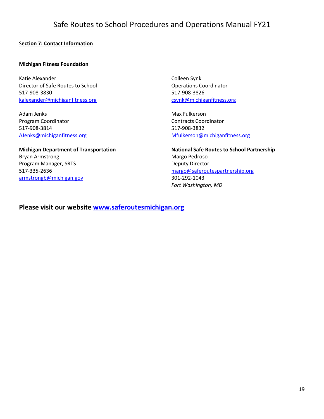### S**ection 7: Contact Information**

### **Michigan Fitness Foundation**

Katie Alexander Director of Safe Routes to School 517‐908‐3830 kalexander@michiganfitness.org

Adam Jenks Program Coordinator 517‐908‐3814 AJenks@michiganfitness.org

**Michigan Department of Transportation** Bryan Armstrong Program Manager, SRTS 517‐335‐2636 armstrongb@michigan.gov

Colleen Synk Operations Coordinator 517‐908‐3826 csynk@michiganfitness.org

Max Fulkerson Contracts Coordinator 517‐908‐3832 Mfulkerson@michiganfitness.org

**National Safe Routes to School Partnership** Margo Pedroso Deputy Director margo@saferoutespartnership.org 301‐292‐1043 *Fort Washington, MD*

### **Please visit our website www.saferoutesmichigan.org**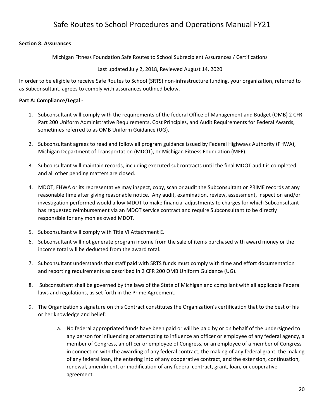### **Section 8: Assurances**

Michigan Fitness Foundation Safe Routes to School Subrecipient Assurances / Certifications

Last updated July 2, 2018, Reviewed August 14, 2020

In order to be eligible to receive Safe Routes to School (SRTS) non-infrastructure funding, your organization, referred to as Subconsultant, agrees to comply with assurances outlined below.

### **Part A: Compliance/Legal ‐**

- 1. Subconsultant will comply with the requirements of the federal Office of Management and Budget (OMB) 2 CFR Part 200 Uniform Administrative Requirements, Cost Principles, and Audit Requirements for Federal Awards, sometimes referred to as OMB Uniform Guidance (UG).
- 2. Subconsultant agrees to read and follow all program guidance issued by Federal Highways Authority (FHWA), Michigan Department of Transportation (MDOT), or Michigan Fitness Foundation (MFF).
- 3. Subconsultant will maintain records, including executed subcontracts until the final MDOT audit is completed and all other pending matters are closed.
- 4. MDOT, FHWA or its representative may inspect, copy, scan or audit the Subconsultant or PRIME records at any reasonable time after giving reasonable notice. Any audit, examination, review, assessment, inspection and/or investigation performed would allow MDOT to make financial adjustments to charges for which Subconsultant has requested reimbursement via an MDOT service contract and require Subconsultant to be directly responsible for any monies owed MDOT.
- 5. Subconsultant will comply with Title VI Attachment E.
- 6. Subconsultant will not generate program income from the sale of items purchased with award money or the income total will be deducted from the award total.
- 7. Subconsultant understands that staff paid with SRTS funds must comply with time and effort documentation and reporting requirements as described in 2 CFR 200 OMB Uniform Guidance (UG).
- 8. Subconsultant shall be governed by the laws of the State of Michigan and compliant with all applicable Federal laws and regulations, as set forth in the Prime Agreement.
- 9. The Organization's signature on this Contract constitutes the Organization's certification that to the best of his or her knowledge and belief:
	- a. No federal appropriated funds have been paid or will be paid by or on behalf of the undersigned to any person for influencing or attempting to influence an officer or employee of any federal agency, a member of Congress, an officer or employee of Congress, or an employee of a member of Congress in connection with the awarding of any federal contract, the making of any federal grant, the making of any federal loan, the entering into of any cooperative contract, and the extension, continuation, renewal, amendment, or modification of any federal contract, grant, loan, or cooperative agreement.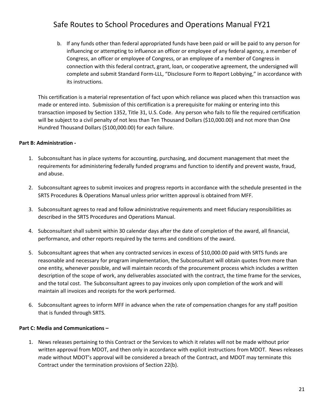b. If any funds other than federal appropriated funds have been paid or will be paid to any person for influencing or attempting to influence an officer or employee of any federal agency, a member of Congress, an officer or employee of Congress, or an employee of a member of Congress in connection with this federal contract, grant, loan, or cooperative agreement, the undersigned will complete and submit Standard Form‐LLL, "Disclosure Form to Report Lobbying," in accordance with its instructions.

This certification is a material representation of fact upon which reliance was placed when this transaction was made or entered into. Submission of this certification is a prerequisite for making or entering into this transaction imposed by Section 1352, Title 31, U.S. Code. Any person who fails to file the required certification will be subject to a civil penalty of not less than Ten Thousand Dollars (\$10,000.00) and not more than One Hundred Thousand Dollars (\$100,000.00) for each failure.

### **Part B: Administration ‐**

- 1. Subconsultant has in place systems for accounting, purchasing, and document management that meet the requirements for administering federally funded programs and function to identify and prevent waste, fraud, and abuse.
- 2. Subconsultant agrees to submit invoices and progress reports in accordance with the schedule presented in the SRTS Procedures & Operations Manual unless prior written approval is obtained from MFF.
- 3. Subconsultant agrees to read and follow administrative requirements and meet fiduciary responsibilities as described in the SRTS Procedures and Operations Manual.
- 4. Subconsultant shall submit within 30 calendar days after the date of completion of the award, all financial, performance, and other reports required by the terms and conditions of the award.
- 5. Subconsultant agrees that when any contracted services in excess of \$10,000.00 paid with SRTS funds are reasonable and necessary for program implementation, the Subconsultant will obtain quotes from more than one entity, whenever possible, and will maintain records of the procurement process which includes a written description of the scope of work, any deliverables associated with the contract, the time frame for the services, and the total cost. The Subconsultant agrees to pay invoices only upon completion of the work and will maintain all invoices and receipts for the work performed.
- 6. Subconsultant agrees to inform MFF in advance when the rate of compensation changes for any staff position that is funded through SRTS.

### **Part C: Media and Communications –**

1. News releases pertaining to this Contract or the Services to which it relates will not be made without prior written approval from MDOT, and then only in accordance with explicit instructions from MDOT. News releases made without MDOT's approval will be considered a breach of the Contract, and MDOT may terminate this Contract under the termination provisions of Section 22(b).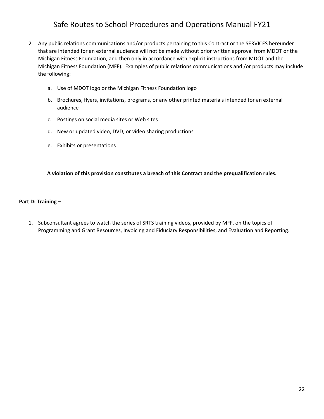- 2. Any public relations communications and/or products pertaining to this Contract or the SERVICES hereunder that are intended for an external audience will not be made without prior written approval from MDOT or the Michigan Fitness Foundation, and then only in accordance with explicit instructions from MDOT and the Michigan Fitness Foundation (MFF). Examples of public relations communications and /or products may include the following:
	- a. Use of MDOT logo or the Michigan Fitness Foundation logo
	- b. Brochures, flyers, invitations, programs, or any other printed materials intended for an external audience
	- c. Postings on social media sites or Web sites
	- d. New or updated video, DVD, or video sharing productions
	- e. Exhibits or presentations

### **A violation of this provision constitutes a breach of this Contract and the prequalification rules.**

#### **Part D: Training –**

1. Subconsultant agrees to watch the series of SRTS training videos, provided by MFF, on the topics of Programming and Grant Resources, Invoicing and Fiduciary Responsibilities, and Evaluation and Reporting.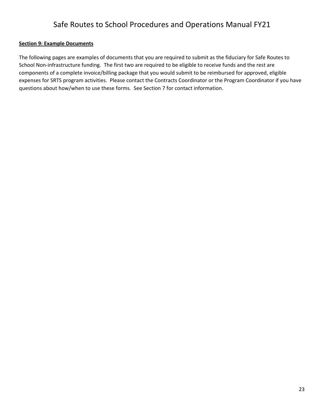### **Section 9: Example Documents**

The following pages are examples of documents that you are required to submit as the fiduciary for Safe Routes to School Non-infrastructure funding. The first two are required to be eligible to receive funds and the rest are components of a complete invoice/billing package that you would submit to be reimbursed for approved, eligible expenses for SRTS program activities. Please contact the Contracts Coordinator or the Program Coordinator if you have questions about how/when to use these forms. See Section 7 for contact information.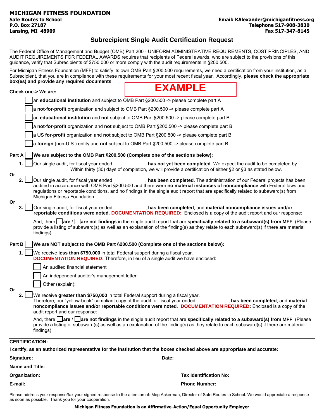### **Subrecipient Single Audit Certification Request**

The Federal Office of Management and Budget (OMB) Part 200 - UNIFORM ADMINISTRATIVE REQUIREMENTS, COST PRINCIPLES, AND AUDIT REQUIREMENTS FOR FEDERAL AWARDS requires that recipients of Federal awards, who are subject to the provisions of this guidance, verify that Subrecipients of \$750,000 or more comply with the audit requirements in §200.500.

For Michigan Fitness Foundation (MFF) to satisfy its own OMB Part §200.500 requirements, we need a certification from your institution, as a Subrecipient, that you are in compliance with these requirements for your most recent fiscal year. Accordingly, **please check the appropriate box(es) and provide any required documents**:

|                |                        |                                                                         | <b>EXAMPLE</b>                                                                                                                                                                                                                                                                                                                              |                                    |
|----------------|------------------------|-------------------------------------------------------------------------|---------------------------------------------------------------------------------------------------------------------------------------------------------------------------------------------------------------------------------------------------------------------------------------------------------------------------------------------|------------------------------------|
|                | Check one-> We are:    |                                                                         |                                                                                                                                                                                                                                                                                                                                             |                                    |
|                |                        |                                                                         | an educational institution and subject to OMB Part §200.500 -> please complete part A                                                                                                                                                                                                                                                       |                                    |
|                |                        |                                                                         | a not-for-profit organization and subject to OMB Part §200.500 -> please complete part A                                                                                                                                                                                                                                                    |                                    |
|                |                        |                                                                         | an educational institution and not subject to OMB Part §200.500 -> please complete part B                                                                                                                                                                                                                                                   |                                    |
|                |                        |                                                                         | a not-for-profit organization and not subject to OMB Part §200.500 -> please complete part B                                                                                                                                                                                                                                                |                                    |
|                |                        |                                                                         | a US for-profit organization and not subject to OMB Part §200.500 -> please complete part B                                                                                                                                                                                                                                                 |                                    |
|                |                        |                                                                         | a foreign (non-U.S.) entity and not subject to OMB Part §200.500 -> please complete part B                                                                                                                                                                                                                                                  |                                    |
| Part A         |                        |                                                                         | We are subject to the OMB Part §200.500 (Complete one of the sections below):                                                                                                                                                                                                                                                               |                                    |
|                |                        | Our single audit, for fiscal year ended                                 | , has not yet been completed. We expect the audit to be completed by<br>. Within thirty (30) days of completion, we will provide a certification of either $\S$ 2 or $\S$ 3 as stated below.                                                                                                                                                |                                    |
| Or<br>2.<br>Or |                        | Our single audit, for fiscal year ended<br>Michigan Fitness Foundation. | , has been completed. The administration of our Federal projects has been<br>audited in accordance with OMB Part §200.500 and there were no material instances of noncompliance with Federal laws and<br>regulations or reportable conditions, and no findings in the single audit report that are specifically related to subaward(s) from |                                    |
|                |                        | Our single audit, for fiscal year ended                                 | , has been completed, and material noncompliance issues and/or<br>reportable conditions were noted. DOCUMENTATION REQUIRED: Enclosed is a copy of the audit report and our response:                                                                                                                                                        |                                    |
|                | findings).             |                                                                         | And, there $\Box$ are / $\Box$ are not findings in the single audit report that are specifically related to a subaward(s) from MFF. (Please<br>provide a listing of subaward(s) as well as an explanation of the finding(s) as they relate to each subaward(s) if there are material                                                        |                                    |
| Part B         |                        |                                                                         | We are NOT subject to the OMB Part §200.500 (Complete one of the sections below):                                                                                                                                                                                                                                                           |                                    |
| 1.             |                        |                                                                         | We receive less than \$750,000 in total Federal support during a fiscal year.<br><b>DOCUMENTATION REQUIRED:</b> Therefore, in lieu of a single audit we have enclosed:                                                                                                                                                                      |                                    |
|                |                        | An audited financial statement                                          |                                                                                                                                                                                                                                                                                                                                             |                                    |
|                |                        | An independent auditor's management letter                              |                                                                                                                                                                                                                                                                                                                                             |                                    |
|                |                        | Other (explain):                                                        |                                                                                                                                                                                                                                                                                                                                             |                                    |
| Or<br>2.       |                        | audit report and our response:                                          | We receive greater than \$750,000 in total Federal support during a fiscal year.<br>Therefore, our "yellow-book" compliant copy of the audit for fiscal year ended<br>noncompliance issues and/or reportable conditions were noted. DOCUMENTATION REQUIRED: Enclosed is a copy of the                                                       | , has been completed, and material |
|                | findings).             |                                                                         | And, there $\Box$ are $\Box$ are not findings in the single audit report that are specifically related to a subaward(s) from MFF. (Please<br>provide a listing of subaward(s) as well as an explanation of the finding(s) as they relate to each subaward(s) if there are material                                                          |                                    |
|                | <b>CERTIFICATION:</b>  |                                                                         |                                                                                                                                                                                                                                                                                                                                             |                                    |
|                |                        |                                                                         | I certify, as an authorized representative for the institution that the boxes checked above are appropriate and accurate:                                                                                                                                                                                                                   |                                    |
| Signature:     |                        |                                                                         | Date:                                                                                                                                                                                                                                                                                                                                       |                                    |
|                | <b>Name and Title:</b> |                                                                         |                                                                                                                                                                                                                                                                                                                                             |                                    |
|                | Organization:          |                                                                         | <b>Tax Identification No:</b>                                                                                                                                                                                                                                                                                                               |                                    |
| E-mail:        |                        |                                                                         | <b>Phone Number:</b>                                                                                                                                                                                                                                                                                                                        |                                    |

Please address your response/fax your signed response to the attention of: Meg Ackerman, Director of Safe Routes to School. We would appreciate a response as soon as possible. Thank you for your cooperation.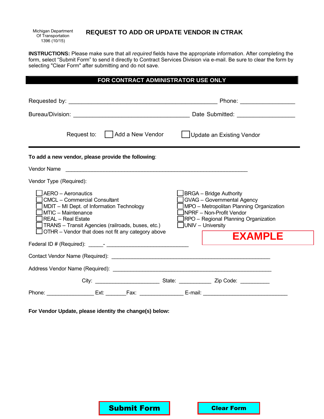Michigan Department Of Transportation 1396 (10/15)

### **REQUEST TO ADD OR UPDATE VENDOR IN CTRAK**

**INSTRUCTIONS:** Please make sure that all *required* fields have the appropriate information. After completing the form, select "Submit Form" to send it directly to Contract Services Division via e-mail. Be sure to clear the form by selecting "Clear Form" after submitting and do not save.

### **FOR CONTRACT ADMINISTRATOR USE ONLY**

| Request to: Add a New Vendor                                                                                                                                                                                                                                         | Update an Existing Vendor                                                                                                                                                                                                                        |
|----------------------------------------------------------------------------------------------------------------------------------------------------------------------------------------------------------------------------------------------------------------------|--------------------------------------------------------------------------------------------------------------------------------------------------------------------------------------------------------------------------------------------------|
| To add a new vendor, please provide the following:                                                                                                                                                                                                                   |                                                                                                                                                                                                                                                  |
| Vendor Name                                                                                                                                                                                                                                                          |                                                                                                                                                                                                                                                  |
| Vendor Type (Required):                                                                                                                                                                                                                                              |                                                                                                                                                                                                                                                  |
| AERO - Aeronautics<br><b>CMCL - Commercial Consultant</b><br>MDIT - MI Dept. of Information Technology<br>MTIC - Maintenance<br><b>REAL</b> - Real Estate<br>TRANS - Transit Agencies (railroads, buses, etc.)<br>OTHR - Vendor that does not fit any category above | <b>BRGA</b> - Bridge Authority<br><b>GVAG</b> - Governmental Agency<br>MPO - Metropolitan Planning Organization<br><b>INPRF – Non-Profit Vendor</b><br><b>RPO</b> - Regional Planning Organization<br>$\Box$ UNIV - University<br><b>EXAMPLE</b> |
|                                                                                                                                                                                                                                                                      |                                                                                                                                                                                                                                                  |
|                                                                                                                                                                                                                                                                      |                                                                                                                                                                                                                                                  |
|                                                                                                                                                                                                                                                                      |                                                                                                                                                                                                                                                  |
|                                                                                                                                                                                                                                                                      |                                                                                                                                                                                                                                                  |
| Phone: ___________________Ext: _________Fax: ______________________E-mail: ___________________________________                                                                                                                                                       |                                                                                                                                                                                                                                                  |
| For Vendor Update, please identity the change(s) below:                                                                                                                                                                                                              |                                                                                                                                                                                                                                                  |
| <b>Submit Form</b>                                                                                                                                                                                                                                                   | <b>Clear Form</b>                                                                                                                                                                                                                                |

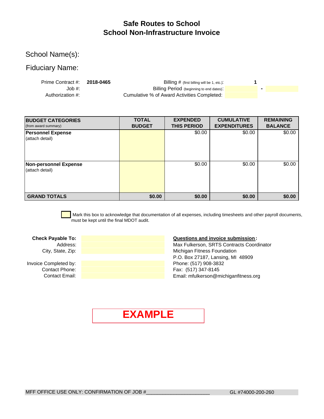### **Safe Routes to School School Non-Infrastructure Invoice**

### School Name(s):

### Fiduciary Name:

| Prime Contract #: 2018-0465 | Billing # (first billing will be 1, etc.):  |  |  |
|-----------------------------|---------------------------------------------|--|--|
| Job #:                      | Billing Period (beginning to end dates):    |  |  |
| Authorization #:            | Cumulative % of Award Activities Completed: |  |  |

| <b>BUDGET CATEGORIES</b><br>(from award summary) | <b>TOTAL</b><br><b>BUDGET</b> | <b>EXPENDED</b><br><b>THIS PERIOD</b> | <b>CUMULATIVE</b><br><b>EXPENDITURES</b> | <b>REMAINING</b><br><b>BALANCE</b> |
|--------------------------------------------------|-------------------------------|---------------------------------------|------------------------------------------|------------------------------------|
| <b>Personnel Expense</b><br>(attach detail)      |                               | \$0.00                                | \$0.00                                   | \$0.00                             |
| <b>Non-personnel Expense</b><br>(attach detail)  |                               | \$0.00                                | \$0.00                                   | \$0.00                             |
| <b>GRAND TOTALS</b>                              | \$0.00                        | \$0.00                                | \$0.00                                   | \$0.00                             |

 Mark this box to acknowledge that documentation of all expenses, including timesheets and other payroll documents, must be kept until the final MDOT audit.

Invoice Completed by:

#### **Check Payable To: Questions and invoice submission:**

City, State, Zip: **Michigan Fitness Foundation** Michigan Fitness Foundation P.O. Box 27187, Lansing, MI 48909 Address: Max Fulkerson, SRTS Contracts Coordinator **Contact Phone:** Fax: (517) 347-8145 Contact Email: **Example 2018** Contact Email: mfulkerson@michiganfitness.org Phone: (517) 908-3832

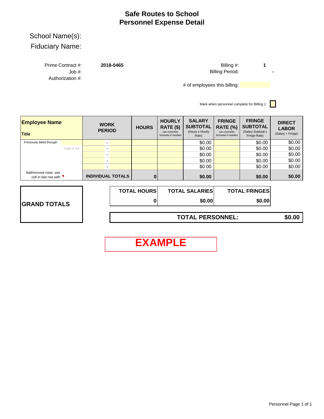### **Safe Routes to School Personnel Expense Detail**

# School Name(s):

|--|

Job #: Authorization #: Prime Contract #: **2018-0465**

**1 -** Billing #: Billing Period:

# of employees this billing: **We are the contract of the state of the contract of the contract of the state of the contract of the contract of the contract of the contract of the contract of the contract of the contract of** 

Mark when personnel complete for Billing 1

 $\Box$ 

| <b>Employee Name</b><br><b>Title</b>                         |            | <b>WORK</b><br><b>PERIOD</b> | <b>HOURS</b>       | <b>HOURLY</b><br>RATE (\$)<br>can overwrite<br>formulas if needed | <b>SALARY</b><br><b>SUBTOTAL</b><br>(Hours x Hourly<br>Rate) | <b>FRINGE</b><br><b>RATE (%)</b><br>can overwrite<br>formulas if needed | <b>FRINGE</b><br><b>SUBTOTAL</b><br>(Salary Subtotal x<br>Fringe Rate) | <b>DIRECT</b><br><b>LABOR</b><br>(Salary + Fringe) |
|--------------------------------------------------------------|------------|------------------------------|--------------------|-------------------------------------------------------------------|--------------------------------------------------------------|-------------------------------------------------------------------------|------------------------------------------------------------------------|----------------------------------------------------|
| Previously billed through:                                   |            |                              |                    |                                                                   | \$0.00                                                       |                                                                         | \$0.00                                                                 | \$0.00                                             |
|                                                              | Date or NA |                              |                    |                                                                   | \$0.00                                                       |                                                                         | \$0.00                                                                 | \$0.00                                             |
|                                                              |            | $\overline{\phantom{a}}$     |                    |                                                                   | \$0.00                                                       |                                                                         | \$0.00                                                                 | \$0.00                                             |
|                                                              |            |                              |                    |                                                                   | \$0.00                                                       |                                                                         | \$0.00                                                                 | \$0.00                                             |
|                                                              |            |                              |                    |                                                                   | \$0.00                                                       |                                                                         | \$0.00                                                                 | \$0.00                                             |
| Add/remove rows: see<br>cell in last row with $\blacksquare$ |            | <b>INDIVIDUAL TOTALS</b>     |                    |                                                                   | \$0.00                                                       |                                                                         | \$0.00                                                                 | \$0.00                                             |
|                                                              |            |                              | <b>TOTAL HOURS</b> |                                                                   | <b>TOTAL SALARIES</b>                                        |                                                                         | <b>TOTAL FRINGES</b>                                                   |                                                    |

|                     | <b>TOTAL HOURSI</b> | <b>TOTAL SALARIES</b> | <b>TOTAL FRINGES</b> |
|---------------------|---------------------|-----------------------|----------------------|
| <b>GRAND TOTALS</b> |                     | \$0.00                | \$0.00               |
|                     |                     |                       |                      |

**TOTAL PERSONNEL: \$0.00**

**EXAMPLE**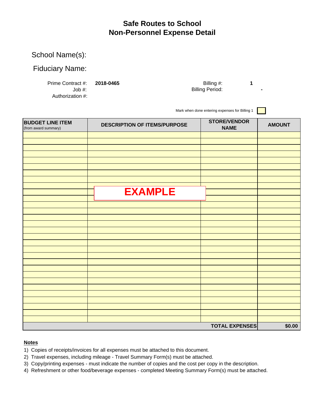### **Safe Routes to School Non-Personnel Expense Detail**

### School Name(s):

### Fiduciary Name:

Authorization #:

Prime Contract #: **2018-0465 1** Job #: **-** Billing Period: Billing #:

Mark when done entering expenses for Billing 1

| <b>BUDGET LINE ITEM</b><br>(from award summary) | <b>DESCRIPTION OF ITEMS/PURPOSE</b> | <b>STORE/VENDOR</b><br><b>NAME</b> | <b>AMOUNT</b> |
|-------------------------------------------------|-------------------------------------|------------------------------------|---------------|
|                                                 |                                     |                                    |               |
|                                                 |                                     |                                    |               |
|                                                 |                                     |                                    |               |
|                                                 |                                     |                                    |               |
|                                                 |                                     |                                    |               |
|                                                 |                                     |                                    |               |
|                                                 |                                     |                                    |               |
|                                                 |                                     |                                    |               |
|                                                 |                                     |                                    |               |
|                                                 | <b>EXAMPLE</b>                      |                                    |               |
|                                                 |                                     |                                    |               |
|                                                 |                                     |                                    |               |
|                                                 |                                     |                                    |               |
|                                                 |                                     |                                    |               |
|                                                 |                                     |                                    |               |
|                                                 |                                     |                                    |               |
|                                                 |                                     |                                    |               |
|                                                 |                                     |                                    |               |
|                                                 |                                     |                                    |               |
|                                                 |                                     |                                    |               |
|                                                 |                                     |                                    |               |
|                                                 |                                     |                                    |               |
|                                                 |                                     |                                    |               |
|                                                 |                                     |                                    |               |
|                                                 |                                     |                                    |               |
|                                                 |                                     |                                    |               |
|                                                 |                                     |                                    |               |
|                                                 |                                     |                                    |               |
|                                                 |                                     |                                    |               |
|                                                 |                                     | <b>TOTAL EXPENSES</b>              | \$0.00        |

### **Notes**

- 1) Copies of receipts/invoices for all expenses must be attached to this document.
- 2) Travel expenses, including mileage Travel Summary Form(s) must be attached.
- 3) Copy/printing expenses must indicate the number of copies and the cost per copy in the description.
- 4) Refreshment or other food/beverage expenses completed Meeting Summary Form(s) must be attached.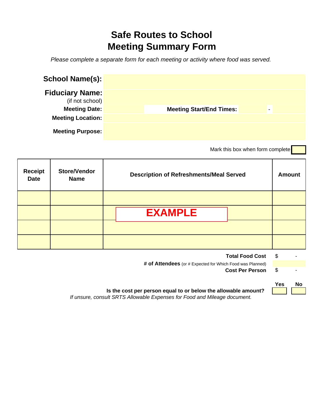# **Safe Routes to School Meeting Summary Form**

*Please complete a separate form for each meeting or activity where food was served.*

| <b>School Name(s):</b>                    |                                 |   |  |
|-------------------------------------------|---------------------------------|---|--|
| <b>Fiduciary Name:</b><br>(if not school) |                                 |   |  |
| <b>Meeting Date:</b>                      | <b>Meeting Start/End Times:</b> | ٠ |  |
| <b>Meeting Location:</b>                  |                                 |   |  |
| <b>Meeting Purpose:</b>                   |                                 |   |  |

Mark this box when form complete

| <b>Receipt</b><br><b>Date</b> | <b>Store/Vendor</b><br><b>Name</b> | <b>Description of Refreshments/Meal Served</b> | <b>Amount</b> |
|-------------------------------|------------------------------------|------------------------------------------------|---------------|
|                               |                                    | <b>EXAMPLE</b>                                 |               |
|                               |                                    |                                                |               |
|                               |                                    |                                                |               |

| <b>Total Food Cost</b>                                    |  |
|-----------------------------------------------------------|--|
| # of Attendees (or # Expected for Which Food was Planned) |  |
| <b>Cost Per Person</b>                                    |  |

| 'es | No. |
|-----|-----|
|     |     |

*If unsure, consult SRTS Allowable Expenses for Food and Mileage document.*  **Is the cost per person equal to or below the allowable amount?**